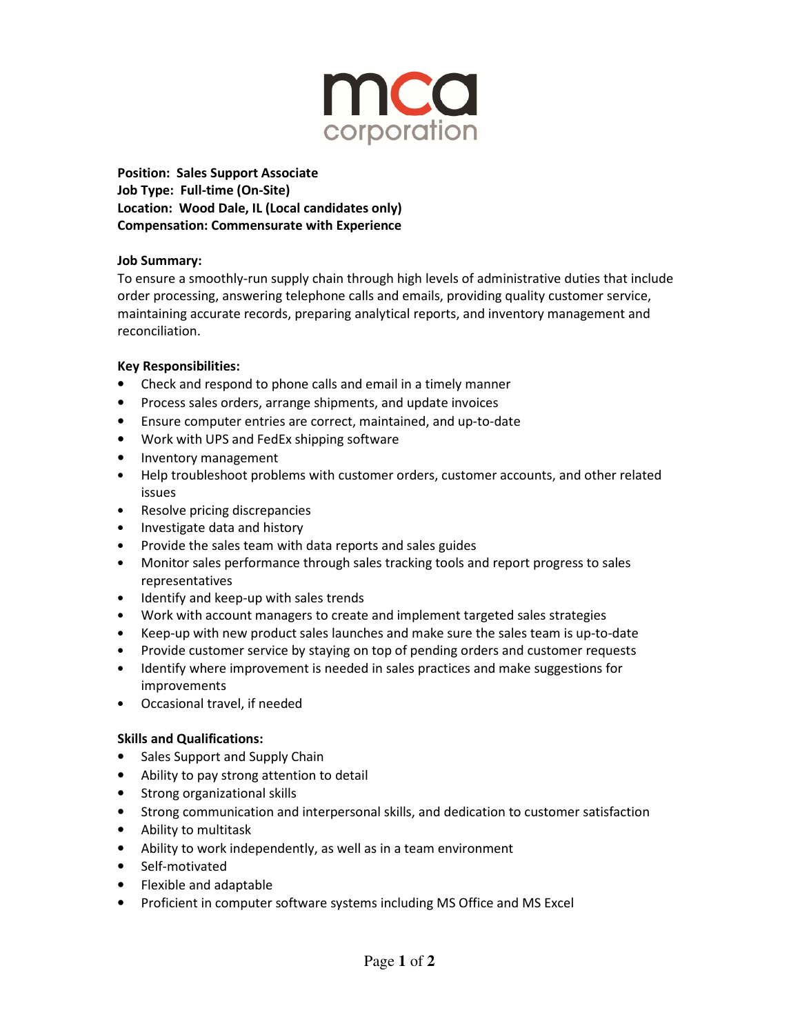

**Position: Sales Support Associate Job Type: Full-time (On-Site) Location: Wood Dale, IL (Local candidates only) Compensation: Commensurate with Experience** 

### **Job Summary:**

To ensure a smoothly-run supply chain through high levels of administrative duties that include order processing, answering telephone calls and emails, providing quality customer service, maintaining accurate records, preparing analytical reports, and inventory management and reconciliation.

## **Key Responsibilities:**

- Check and respond to phone calls and email in a timely manner
- Process sales orders, arrange shipments, and update invoices
- Ensure computer entries are correct, maintained, and up-to-date
- Work with UPS and FedEx shipping software
- Inventory management
- Help troubleshoot problems with customer orders, customer accounts, and other related issues
- Resolve pricing discrepancies
- Investigate data and history
- Provide the sales team with data reports and sales guides
- Monitor sales performance through sales tracking tools and report progress to sales representatives
- Identify and keep-up with sales trends
- Work with account managers to create and implement targeted sales strategies
- Keep-up with new product sales launches and make sure the sales team is up-to-date
- Provide customer service by staying on top of pending orders and customer requests
- Identify where improvement is needed in sales practices and make suggestions for improvements
- Occasional travel, if needed

#### **Skills and Qualifications:**

- Sales Support and Supply Chain
- Ability to pay strong attention to detail
- Strong organizational skills
- Strong communication and interpersonal skills, and dedication to customer satisfaction
- Ability to multitask
- Ability to work independently, as well as in a team environment
- Self-motivated
- Flexible and adaptable
- Proficient in computer software systems including MS Office and MS Excel